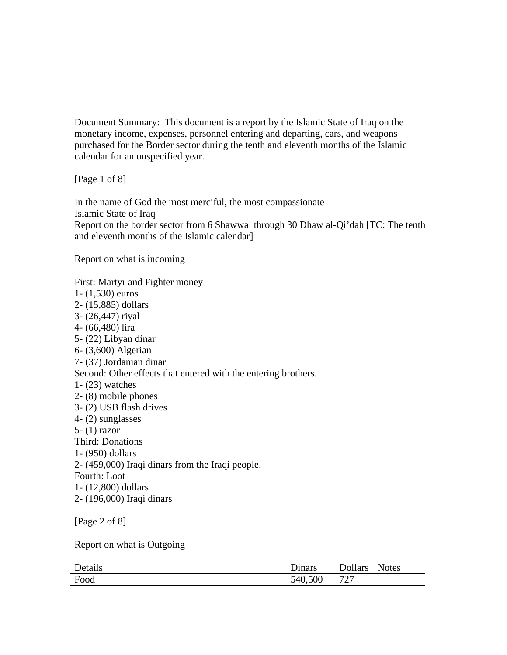Document Summary: This document is a report by the Islamic State of Iraq on the monetary income, expenses, personnel entering and departing, cars, and weapons purchased for the Border sector during the tenth and eleventh months of the Islamic calendar for an unspecified year.

[Page 1 of 8]

In the name of God the most merciful, the most compassionate Islamic State of Iraq Report on the border sector from 6 Shawwal through 30 Dhaw al-Qi'dah [TC: The tenth and eleventh months of the Islamic calendar]

Report on what is incoming

First: Martyr and Fighter money 1- (1,530) euros 2- (15,885) dollars 3- (26,447) riyal 4- (66,480) lira 5- (22) Libyan dinar 6- (3,600) Algerian 7- (37) Jordanian dinar Second: Other effects that entered with the entering brothers. 1- (23) watches 2- (8) mobile phones 3- (2) USB flash drives 4- (2) sunglasses 5- (1) razor Third: Donations 1- (950) dollars 2- (459,000) Iraqi dinars from the Iraqi people. Fourth: Loot 1- (12,800) dollars 2- (196,000) Iraqi dinars

[Page 2 of 8]

Report on what is Outgoing

| Details | $\mathbf{\Gamma}$<br><b>Dinars</b> | <b>Dollars</b> | <b>Notes</b> |
|---------|------------------------------------|----------------|--------------|
| Food    | 540,500                            | 707<br>∼       |              |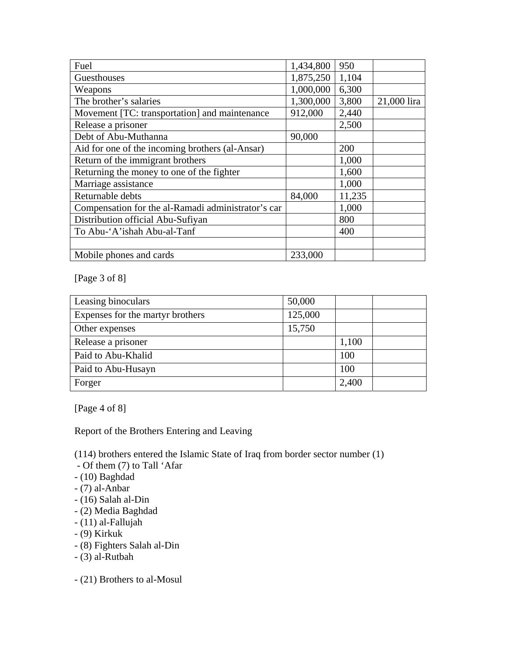| Fuel                                               | 1,434,800 | 950    |             |
|----------------------------------------------------|-----------|--------|-------------|
| Guesthouses                                        | 1,875,250 | 1,104  |             |
| Weapons                                            | 1,000,000 | 6,300  |             |
| The brother's salaries                             | 1,300,000 | 3,800  | 21,000 lira |
| Movement [TC: transportation] and maintenance      | 912,000   | 2,440  |             |
| Release a prisoner                                 |           | 2,500  |             |
| Debt of Abu-Muthanna                               | 90,000    |        |             |
| Aid for one of the incoming brothers (al-Ansar)    |           | 200    |             |
| Return of the immigrant brothers                   |           | 1,000  |             |
| Returning the money to one of the fighter          |           | 1,600  |             |
| Marriage assistance                                |           | 1,000  |             |
| Returnable debts                                   | 84,000    | 11,235 |             |
| Compensation for the al-Ramadi administrator's car |           | 1,000  |             |
| Distribution official Abu-Sufiyan                  |           | 800    |             |
| To Abu-'A'ishah Abu-al-Tanf                        |           | 400    |             |
|                                                    |           |        |             |
| Mobile phones and cards                            | 233,000   |        |             |

[Page 3 of 8]

| Leasing binoculars               | 50,000  |       |
|----------------------------------|---------|-------|
| Expenses for the martyr brothers | 125,000 |       |
| Other expenses                   | 15,750  |       |
| Release a prisoner               |         | 1,100 |
| Paid to Abu-Khalid               |         | 100   |
| Paid to Abu-Husayn               |         | 100   |
| Forger                           |         | 2,400 |

[Page 4 of 8]

Report of the Brothers Entering and Leaving

(114) brothers entered the Islamic State of Iraq from border sector number (1)

- Of them (7) to Tall 'Afar
- (10) Baghdad
- (7) al-Anbar
- (16) Salah al-Din
- (2) Media Baghdad
- (11) al-Fallujah
- (9) Kirkuk
- (8) Fighters Salah al-Din
- (3) al-Rutbah

- (21) Brothers to al-Mosul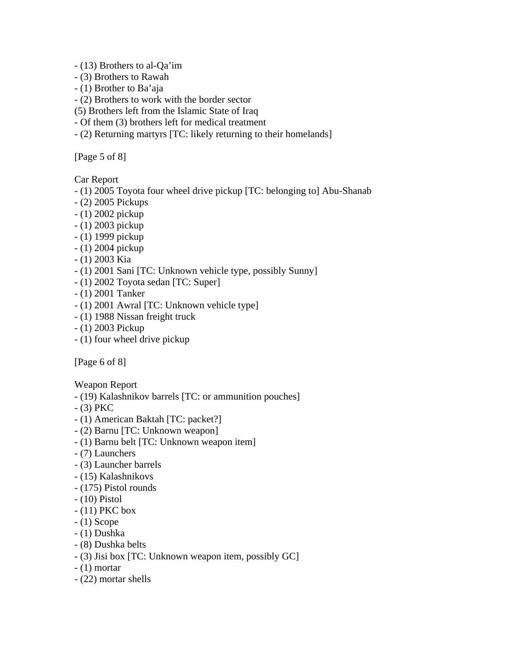- (13) Brothers to al-Qa'im

- (3) Brothers to Rawah
- (1) Brother to Ba'aja
- (2) Brothers to work with the border sector
- (5) Brothers left from the Islamic State of Iraq
- Of them (3) brothers left for medical treatment
- (2) Returning martyrs [TC: likely returning to their homelands]

[Page 5 of 8]

Car Report

- (1) 2005 Toyota four wheel drive pickup [TC: belonging to] Abu-Shanab
- (2) 2005 Pickups
- (1) 2002 pickup
- (1) 2003 pickup
- (1) 1999 pickup
- (1) 2004 pickup
- (1) 2003 Kia
- (1) 2001 Sani [TC: Unknown vehicle type, possibly Sunny]
- (1) 2002 Toyota sedan [TC: Super]
- (1) 2001 Tanker
- (1) 2001 Awral [TC: Unknown vehicle type]
- (1) 1988 Nissan freight truck
- (1) 2003 Pickup
- (1) four wheel drive pickup

[Page 6 of 8]

Weapon Report

- (19) Kalashnikov barrels [TC: or ammunition pouches]
- (3) PKC
- (1) American Baktah [TC: packet?]
- (2) Barnu [TC: Unknown weapon]
- (1) Barnu belt [TC: Unknown weapon item]
- (7) Launchers
- (3) Launcher barrels
- (15) Kalashnikovs
- (175) Pistol rounds
- (10) Pistol
- (11) PKC box
- (1) Scope
- (1) Dushka
- (8) Dushka belts
- (3) Jisi box [TC: Unknown weapon item, possibly GC]
- (1) mortar
- (22) mortar shells